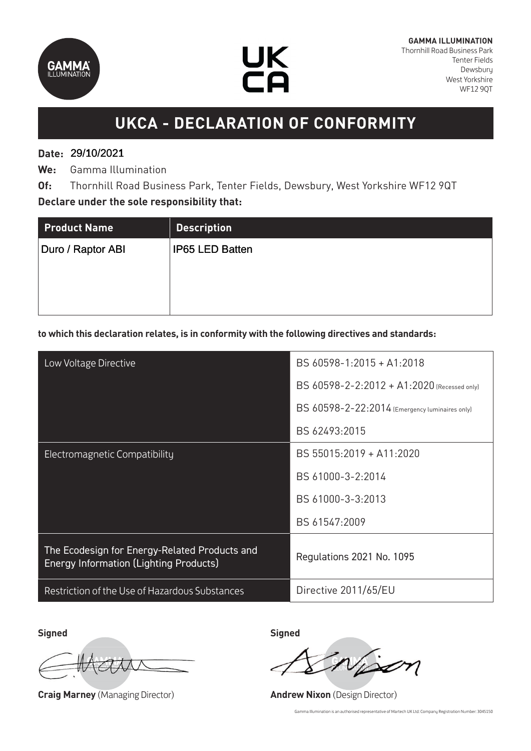



# **UKCA - DECLARATION OF CONFORMITY**

## **Date:**  29/10/2021 29/10/2021

**We:** Gamma Illumination

**Of:** Thornhill Road Business Park, Tenter Fields, Dewsbury, West Yorkshire WF12 9QT **Declare under the sole responsibility that:**

| <b>Product Name</b> | <b>Description</b>     |
|---------------------|------------------------|
| Duro / Raptor ABI   | <b>IP65 LED Batten</b> |
|                     |                        |
|                     |                        |
|                     |                        |

#### **to which this declaration relates, is in conformity with the following directives and standards:**

| Low Voltage Directive                                                                          | BS 60598-1:2015 + A1:2018                      |
|------------------------------------------------------------------------------------------------|------------------------------------------------|
|                                                                                                | BS 60598-2-2:2012 + A1:2020 (Recessed only)    |
|                                                                                                | BS 60598-2-22:2014 (Emergency luminaires only) |
|                                                                                                | BS 62493:2015                                  |
| Electromagnetic Compatibility                                                                  | BS 55015:2019 + A11:2020                       |
|                                                                                                | BS 61000-3-2:2014                              |
|                                                                                                | BS 61000-3-3:2013                              |
|                                                                                                | BS 61547:2009                                  |
| The Ecodesign for Energy-Related Products and<br><b>Energy Information (Lighting Products)</b> | Regulations 2021 No. 1095                      |
| Restriction of the Use of Hazardous Substances                                                 | Directive 2011/65/EU                           |

**Signed Signed**

**Craig Marney** (Managing Director) **Andrew Nixon** (Design Director)

Gamma Illumination is an authorised representative of Martech UK Ltd: Company Registration Number: 3045150